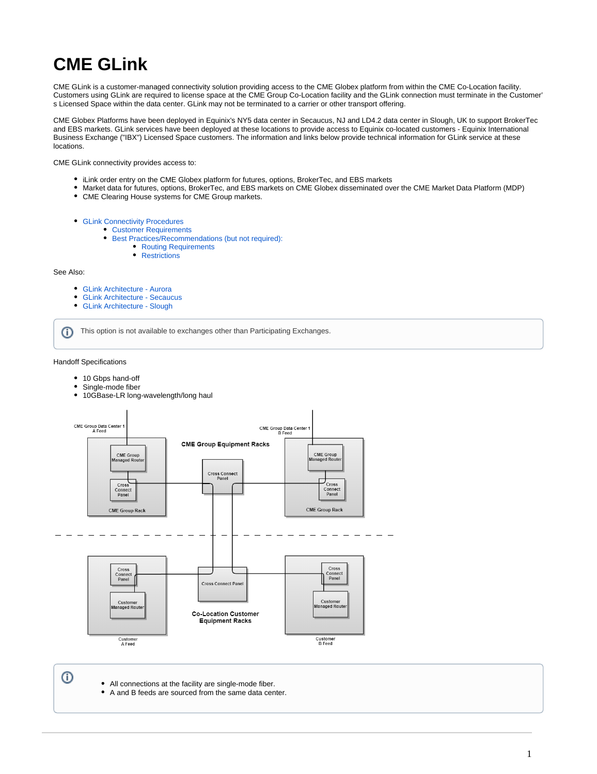# **CME GLink**

CME GLink is a customer-managed connectivity solution providing access to the CME Globex platform from within the CME Co-Location facility. Customers using GLink are required to license space at the CME Group Co-Location facility and the GLink connection must terminate in the Customer' s Licensed Space within the data center. GLink may not be terminated to a carrier or other transport offering.

CME Globex Platforms have been deployed in Equinix's NY5 data center in Secaucus, NJ and LD4.2 data center in Slough, UK to support BrokerTec and EBS markets. GLink services have been deployed at these locations to provide access to Equinix co-located customers - Equinix International Business Exchange ("IBX") Licensed Space customers. The information and links below provide technical information for GLink service at these locations.

CME GLink connectivity provides access to:

- iLink order entry on the CME Globex platform for futures, options, BrokerTec, and EBS markets
- Market data for futures, options, BrokerTec, and EBS markets on CME Globex disseminated over the CME Market Data Platform (MDP)
- CME Clearing House systems for CME Group markets.
- [GLink Connectivity Procedures](#page-0-0)
	- [Customer Requirements](#page-1-0)
	- **[Best Practices/Recommendations \(but not required\):](#page-1-1)** 
		- [Routing Requirements](#page-1-2)
		- [Restrictions](#page-1-3)

#### See Also:

- $\bullet$ [GLink Architecture - Aurora](https://www.cmegroup.com/confluence/display/EPICSANDBOX/GLink+Architecture+-+Aurora)
- [GLink Architecture Secaucus](https://www.cmegroup.com/confluence/display/EPICSANDBOX/GLink+Architecture+-+Secaucus)
- [GLink Architecture Slough](https://www.cmegroup.com/confluence/display/EPICSANDBOX/GLink+Architecture+-+Slough)

This option is not available to exchanges other than Participating Exchanges. G)

## Handoff Specifications

- 10 Gbps hand-off
- Single-mode fiber
- 10GBase-LR long-wavelength/long haul



<span id="page-0-0"></span>⊕

- All connections at the facility are single-mode fiber.
- A and B feeds are sourced from the same data center.